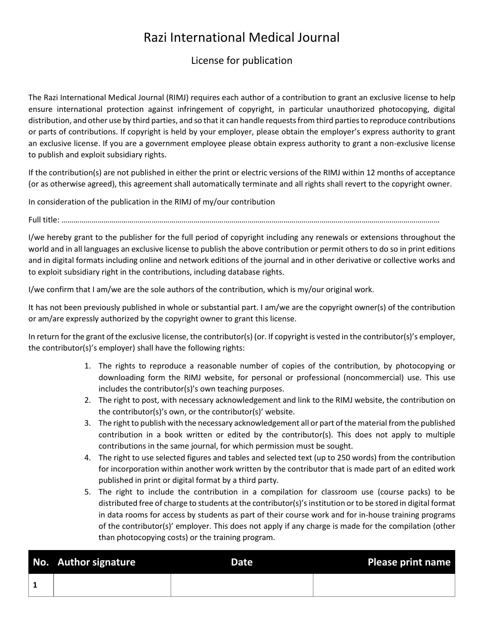## Razi International Medical Journal

## License for publication

The Razi International Medical Journal (RIMJ) requires each author of a contribution to grant an exclusive license to help ensure international protection against infringement of copyright, in particular unauthorized photocopying, digital distribution, and other use by third parties, and so that it can handle requests from third parties to reproduce contributions or parts of contributions. If copyright is held by your employer, please obtain the employer's express authority to grant an exclusive license. If you are a government employee please obtain express authority to grant a non-exclusive license to publish and exploit subsidiary rights.

If the contribution(s) are not published in either the print or electric versions of the RIMJ within 12 months of acceptance (or as otherwise agreed), this agreement shall automatically terminate and all rights shall revert to the copyright owner.

In consideration of the publication in the RIMJ of my/our contribution

Full title: ………………………………………………………………………………………………………………………………………………………………………

I/we hereby grant to the publisher for the full period of copyright including any renewals or extensions throughout the world and in all languages an exclusive license to publish the above contribution or permit others to do so in print editions and in digital formats including online and network editions of the journal and in other derivative or collective works and to exploit subsidiary right in the contributions, including database rights.

I/we confirm that I am/we are the sole authors of the contribution, which is my/our original work.

It has not been previously published in whole or substantial part. I am/we are the copyright owner(s) of the contribution or am/are expressly authorized by the copyright owner to grant this license.

In return for the grant of the exclusive license, the contributor(s) (or. If copyright is vested in the contributor(s)'s employer, the contributor(s)'s employer) shall have the following rights:

- 1. The rights to reproduce a reasonable number of copies of the contribution, by photocopying or downloading form the RIMJ website, for personal or professional (noncommercial) use. This use includes the contributor(s)'s own teaching purposes.
- 2. The right to post, with necessary acknowledgement and link to the RIMJ website, the contribution on the contributor(s)'s own, or the contributor(s)' website.
- 3. The right to publish with the necessary acknowledgement all or part of the material from the published contribution in a book written or edited by the contributor(s). This does not apply to multiple contributions in the same journal, for which permission must be sought.
- 4. The right to use selected figures and tables and selected text (up to 250 words) from the contribution for incorporation within another work written by the contributor that is made part of an edited work published in print or digital format by a third party.
- 5. The right to include the contribution in a compilation for classroom use (course packs) to be distributed free of charge to students at the contributor(s)'s institution or to be stored in digital format in data rooms for access by students as part of their course work and for in-house training programs of the contributor(s)' employer. This does not apply if any charge is made for the compilation (other than photocopying costs) or the training program.

| No. Author signature | <b>Date</b> | <b>Please print name</b> |
|----------------------|-------------|--------------------------|
|                      |             |                          |